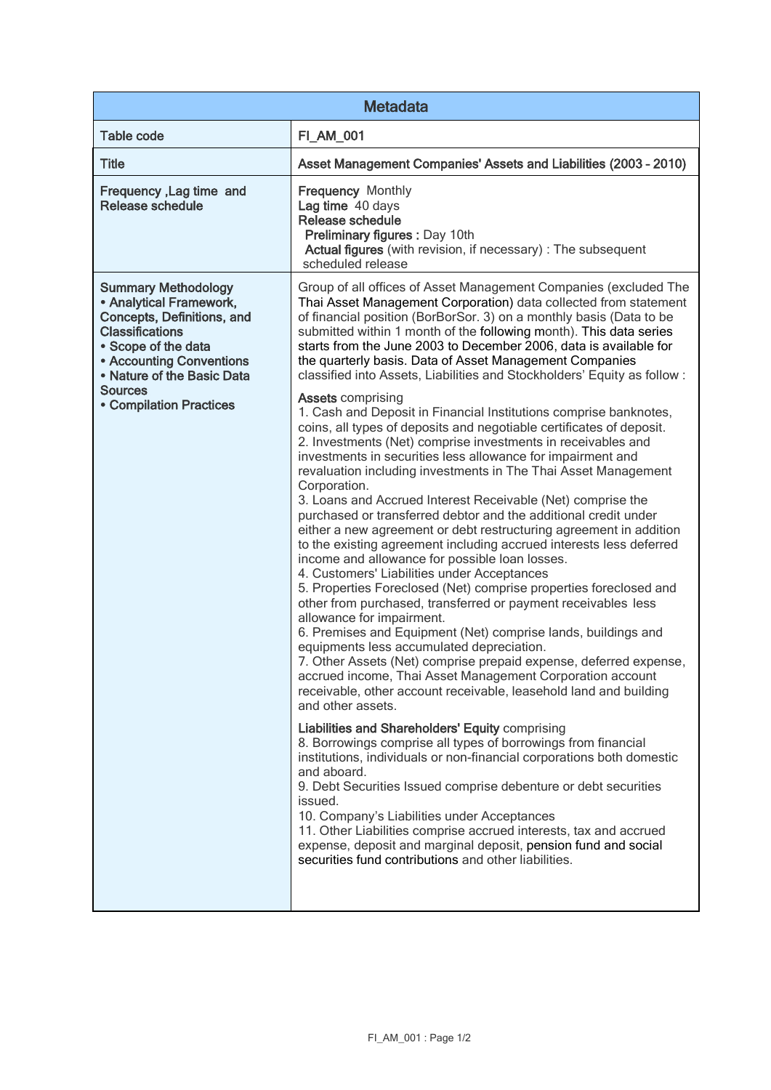| <b>Metadata</b>                                                                                                                                                                                                                                           |                                                                                                                                                                                                                                                                                                                                                                                                                                                                                                                                                                                                                                                                                                                                                                                                                                                                                                                                                                                                                                                                                                                                                                                                                                                                                                                                                                                                                                                                                                                                                                                                                                                                                                                                                                                                                                                                                                                                                                                                                                                                                                                                                                                                    |  |
|-----------------------------------------------------------------------------------------------------------------------------------------------------------------------------------------------------------------------------------------------------------|----------------------------------------------------------------------------------------------------------------------------------------------------------------------------------------------------------------------------------------------------------------------------------------------------------------------------------------------------------------------------------------------------------------------------------------------------------------------------------------------------------------------------------------------------------------------------------------------------------------------------------------------------------------------------------------------------------------------------------------------------------------------------------------------------------------------------------------------------------------------------------------------------------------------------------------------------------------------------------------------------------------------------------------------------------------------------------------------------------------------------------------------------------------------------------------------------------------------------------------------------------------------------------------------------------------------------------------------------------------------------------------------------------------------------------------------------------------------------------------------------------------------------------------------------------------------------------------------------------------------------------------------------------------------------------------------------------------------------------------------------------------------------------------------------------------------------------------------------------------------------------------------------------------------------------------------------------------------------------------------------------------------------------------------------------------------------------------------------------------------------------------------------------------------------------------------------|--|
| <b>Table code</b>                                                                                                                                                                                                                                         | <b>FI_AM_001</b>                                                                                                                                                                                                                                                                                                                                                                                                                                                                                                                                                                                                                                                                                                                                                                                                                                                                                                                                                                                                                                                                                                                                                                                                                                                                                                                                                                                                                                                                                                                                                                                                                                                                                                                                                                                                                                                                                                                                                                                                                                                                                                                                                                                   |  |
| <b>Title</b>                                                                                                                                                                                                                                              | Asset Management Companies' Assets and Liabilities (2003 - 2010)                                                                                                                                                                                                                                                                                                                                                                                                                                                                                                                                                                                                                                                                                                                                                                                                                                                                                                                                                                                                                                                                                                                                                                                                                                                                                                                                                                                                                                                                                                                                                                                                                                                                                                                                                                                                                                                                                                                                                                                                                                                                                                                                   |  |
| Frequency, Lag time and<br><b>Release schedule</b>                                                                                                                                                                                                        | <b>Frequency Monthly</b><br>Lag time 40 days<br>Release schedule<br>Preliminary figures : Day 10th<br>Actual figures (with revision, if necessary) : The subsequent<br>scheduled release                                                                                                                                                                                                                                                                                                                                                                                                                                                                                                                                                                                                                                                                                                                                                                                                                                                                                                                                                                                                                                                                                                                                                                                                                                                                                                                                                                                                                                                                                                                                                                                                                                                                                                                                                                                                                                                                                                                                                                                                           |  |
| <b>Summary Methodology</b><br>• Analytical Framework,<br>Concepts, Definitions, and<br><b>Classifications</b><br>• Scope of the data<br><b>• Accounting Conventions</b><br>• Nature of the Basic Data<br><b>Sources</b><br><b>• Compilation Practices</b> | Group of all offices of Asset Management Companies (excluded The<br>Thai Asset Management Corporation) data collected from statement<br>of financial position (BorBorSor. 3) on a monthly basis (Data to be<br>submitted within 1 month of the following month). This data series<br>starts from the June 2003 to December 2006, data is available for<br>the quarterly basis. Data of Asset Management Companies<br>classified into Assets, Liabilities and Stockholders' Equity as follow :<br><b>Assets comprising</b><br>1. Cash and Deposit in Financial Institutions comprise banknotes,<br>coins, all types of deposits and negotiable certificates of deposit.<br>2. Investments (Net) comprise investments in receivables and<br>investments in securities less allowance for impairment and<br>revaluation including investments in The Thai Asset Management<br>Corporation.<br>3. Loans and Accrued Interest Receivable (Net) comprise the<br>purchased or transferred debtor and the additional credit under<br>either a new agreement or debt restructuring agreement in addition<br>to the existing agreement including accrued interests less deferred<br>income and allowance for possible loan losses.<br>4. Customers' Liabilities under Acceptances<br>5. Properties Foreclosed (Net) comprise properties foreclosed and<br>other from purchased, transferred or payment receivables less<br>allowance for impairment.<br>6. Premises and Equipment (Net) comprise lands, buildings and<br>equipments less accumulated depreciation.<br>7. Other Assets (Net) comprise prepaid expense, deferred expense,<br>accrued income, Thai Asset Management Corporation account<br>receivable, other account receivable, leasehold land and building<br>and other assets.<br>Liabilities and Shareholders' Equity comprising<br>8. Borrowings comprise all types of borrowings from financial<br>institutions, individuals or non-financial corporations both domestic<br>and aboard.<br>9. Debt Securities Issued comprise debenture or debt securities<br>issued.<br>10. Company's Liabilities under Acceptances<br>11. Other Liabilities comprise accrued interests, tax and accrued |  |
|                                                                                                                                                                                                                                                           | expense, deposit and marginal deposit, pension fund and social<br>securities fund contributions and other liabilities.                                                                                                                                                                                                                                                                                                                                                                                                                                                                                                                                                                                                                                                                                                                                                                                                                                                                                                                                                                                                                                                                                                                                                                                                                                                                                                                                                                                                                                                                                                                                                                                                                                                                                                                                                                                                                                                                                                                                                                                                                                                                             |  |